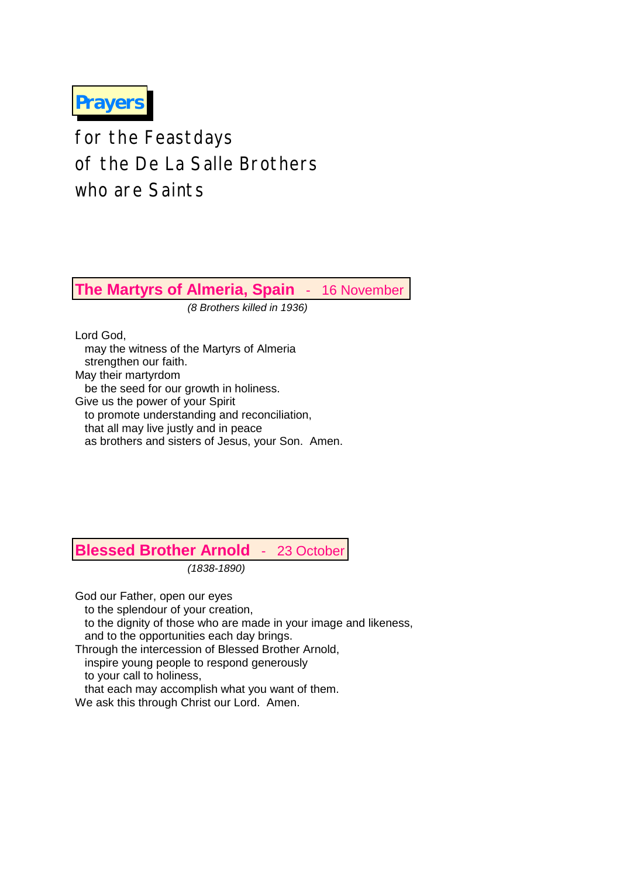**Prayers**

for the Feastdays of the De La Salle Brothers who are Saints

**The Martyrs of Almeria, Spain** - 16 November

*(8 Brothers killed in 1936)*

Lord God, may the witness of the Martyrs of Almeria strengthen our faith. May their martyrdom be the seed for our growth in holiness. Give us the power of your Spirit to promote understanding and reconciliation, that all may live justly and in peace as brothers and sisters of Jesus, your Son. Amen.

# **Blessed Brother Arnold** - 23 October

*(1838-1890)*

God our Father, open our eyes

to the splendour of your creation,

 to the dignity of those who are made in your image and likeness, and to the opportunities each day brings.

Through the intercession of Blessed Brother Arnold,

inspire young people to respond generously

to your call to holiness,

that each may accomplish what you want of them.

We ask this through Christ our Lord. Amen.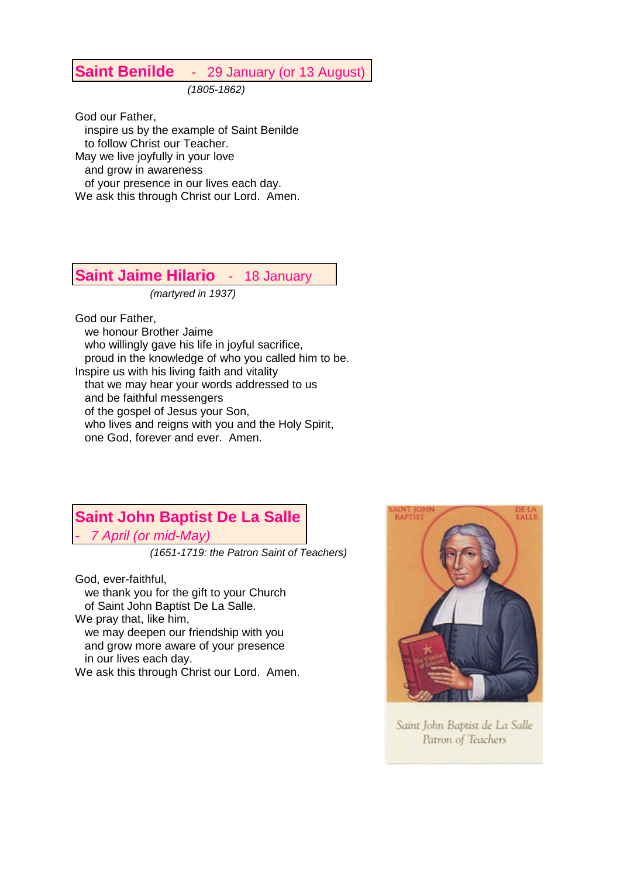## **Saint Benilde** - 29 January (or 13 August)

*(1805-1862)*

God our Father, inspire us by the example of Saint Benilde to follow Christ our Teacher. May we live joyfully in your love and grow in awareness of your presence in our lives each day. We ask this through Christ our Lord. Amen.

#### **Saint Jaime Hilario** - 18 January

*(martyred in 1937)*

God our Father,

 we honour Brother Jaime who willingly gave his life in joyful sacrifice, proud in the knowledge of who you called him to be. Inspire us with his living faith and vitality that we may hear your words addressed to us and be faithful messengers of the gospel of Jesus your Son, who lives and reigns with you and the Holy Spirit, one God, forever and ever. Amen.

## **Saint John Baptist De La Salle** *- 7 April (or mid-May)*

*(1651-1719: the Patron Saint of Teachers)* 

God, ever-faithful, we thank you for the gift to your Church of Saint John Baptist De La Salle. We pray that, like him, we may deepen our friendship with you

 and grow more aware of your presence in our lives each day. We ask this through Christ our Lord. Amen.



Saint John Baptist de La Salle Patron of Teachers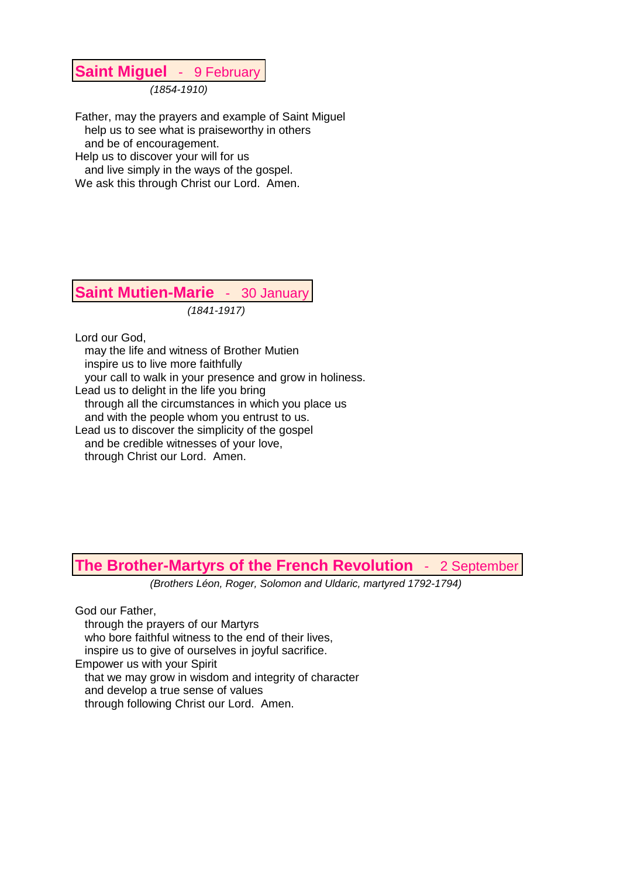## **Saint Miguel** - 9 February

*(1854-1910)*

Father, may the prayers and example of Saint Miguel help us to see what is praiseworthy in others and be of encouragement. Help us to discover your will for us and live simply in the ways of the gospel. We ask this through Christ our Lord. Amen.

**Saint Mutien-Marie** - 30 January *(1841-1917)*

Lord our God,

 may the life and witness of Brother Mutien inspire us to live more faithfully your call to walk in your presence and grow in holiness. Lead us to delight in the life you bring through all the circumstances in which you place us and with the people whom you entrust to us. Lead us to discover the simplicity of the gospel and be credible witnesses of your love, through Christ our Lord. Amen.

### **The Brother-Martyrs of the French Revolution** - 2 September

*(Brothers Léon, Roger, Solomon and Uldaric, martyred 1792-1794)*

God our Father, through the prayers of our Martyrs who bore faithful witness to the end of their lives, inspire us to give of ourselves in joyful sacrifice. Empower us with your Spirit that we may grow in wisdom and integrity of character and develop a true sense of values through following Christ our Lord. Amen.